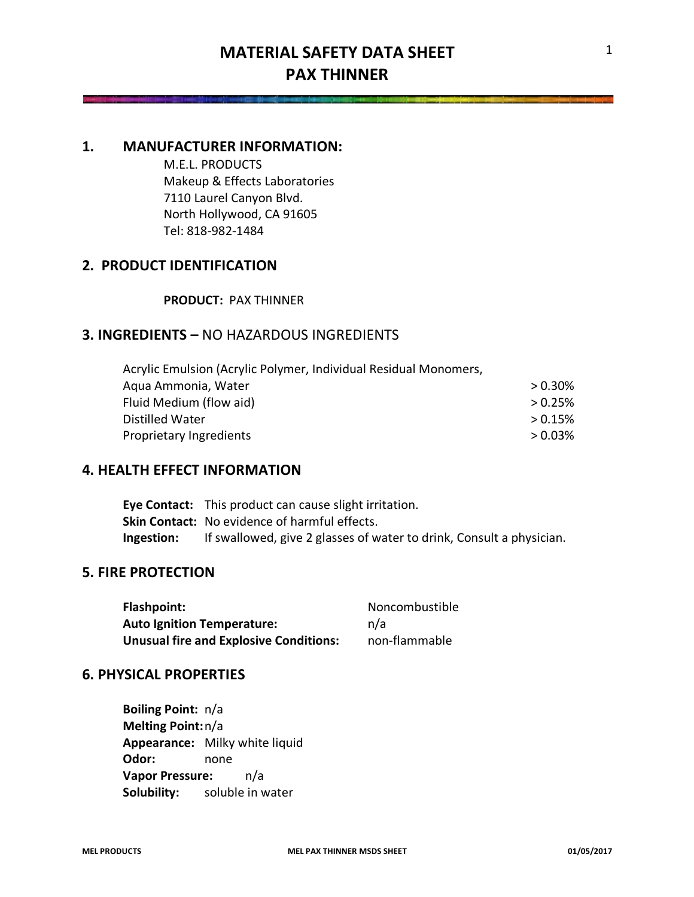### **1. MANUFACTURER INFORMATION:**

M.E.L. PRODUCTS Makeup & Effects Laboratories 7110 Laurel Canyon Blvd. North Hollywood, CA 91605 Tel: 818-982-1484

# **2. PRODUCT IDENTIFICATION**

### **PRODUCT:** PAX THINNER

# **3. INGREDIENTS –** NO HAZARDOUS INGREDIENTS

Acrylic Emulsion (Acrylic Polymer, Individual Residual Monomers, Aqua Ammonia, Water  $> 0.30\%$ Fluid Medium (flow aid) **Fig. 2018 CONSUMER 2008 EXECUTE:**  $\geq 0.25\%$ Distilled Water  $> 0.15\%$ Proprietary Ingredients **by a strategie of the COS**  $> 0.03\%$ 

### **4. HEALTH EFFECT INFORMATION**

**Eye Contact:** This product can cause slight irritation. **Skin Contact:** No evidence of harmful effects. **Ingestion:** If swallowed, give 2 glasses of water to drink, Consult a physician.

### **5. FIRE PROTECTION**

Flashpoint: Noncombustible **Auto Ignition Temperature:** n/a **Unusual fire and Explosive Conditions:** non-flammable

### **6. PHYSICAL PROPERTIES**

**Boiling Point:** n/a **Melting Point:**n/a **Appearance:** Milky white liquid **Odor:** none **Vapor Pressure:** n/a **Solubility:** soluble in water